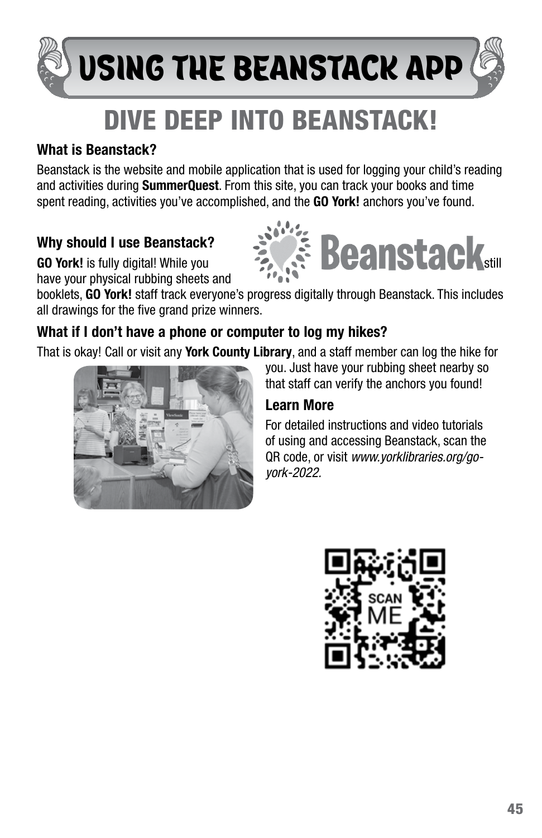# USING THE BEANSTACK APP

# DIVE DEEP INTO BEANSTACK!

### What is Beanstack?

Beanstack is the website and mobile application that is used for logging your child's reading and activities during **SummerQuest**. From this site, you can track your books and time spent reading, activities you've accomplished, and the **GO York!** anchors you've found.

## Why should I use Beanstack?

have your physical rubbing sheets and

Why should I use Beanstack?<br>GO York! is fully digital! While you still a still and the still

booklets, GO York! staff track everyone's progress digitally through Beanstack. This includes all drawings for the five grand prize winners.

#### What if I don't have a phone or computer to log my hikes?

That is okay! Call or visit any York County Library, and a staff member can log the hike for



you. Just have your rubbing sheet nearby so that staff can verify the anchors you found!

#### Learn More

For detailed instructions and video tutorials of using and accessing Beanstack, scan the QR code, or visit *www.yorklibraries.org/goyork-2022.*

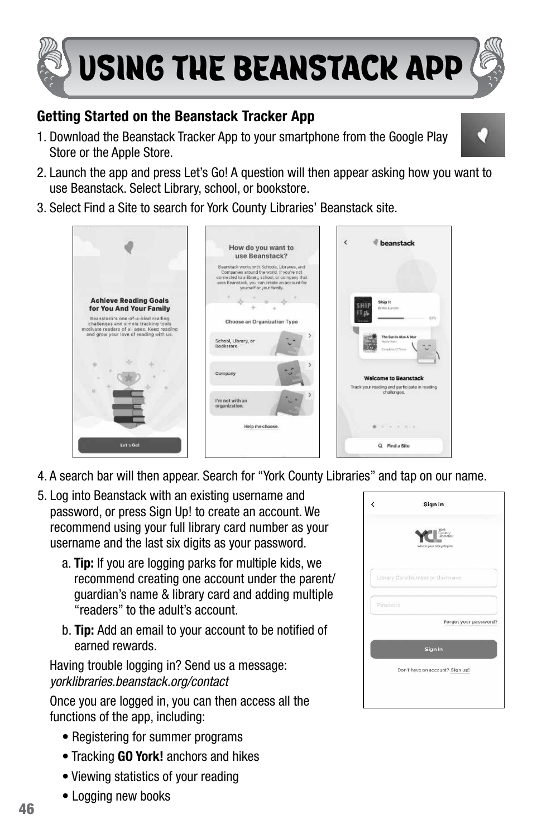

#### Getting Started on the Beanstack Tracker App

- 1. Download the Beanstack Tracker App to your smartphone from the Google Play Store or the Apple Store.
- 2. Launch the app and press Let's Go! A question will then appear asking how you want to use Beanstack. Select Library, school, or bookstore.
- 3. Select Find a Site to search for York County Libraries' Beanstack site.



- 4. A search bar will then appear. Search for "York County Libraries" and tap on our name.
- 5. Log into Beanstack with an existing username and password, or press Sign Up! to create an account. We recommend using your full library card number as your username and the last six digits as your password.
	- a. Tip: If you are logging parks for multiple kids, we recommend creating one account under the parent/ guardian's name & library card and adding multiple "readers" to the adult's account.
	- b. Tip: Add an email to your account to be notified of earned rewards.

Having trouble logging in? Send us a message: *yorklibraries.beanstack.org/contact*

Once you are logged in, you can then access all the functions of the app, including:

- Registering for summer programs
- Tracking GO York! anchors and hikes
- Viewing statistics of your reading
- Logging new books